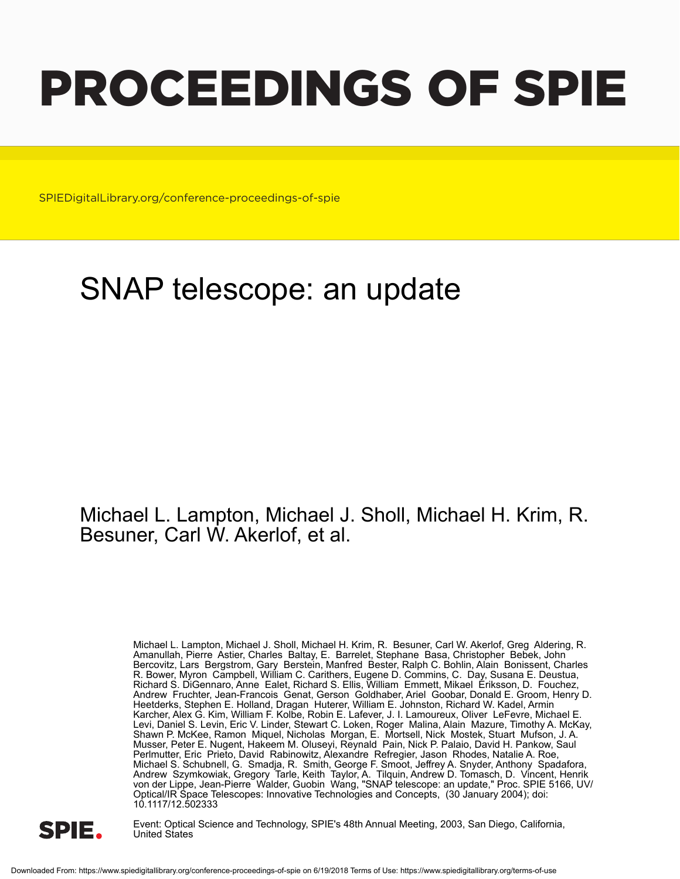# PROCEEDINGS OF SPIE

SPIEDigitalLibrary.org/conference-proceedings-of-spie

# SNAP telescope: an update

## Michael L. Lampton, Michael J. Sholl, Michael H. Krim, R. Besuner, Carl W. Akerlof, et al.

Michael L. Lampton, Michael J. Sholl, Michael H. Krim, R. Besuner, Carl W. Akerlof, Greg Aldering, R. Amanullah, Pierre Astier, Charles Baltay, E. Barrelet, Stephane Basa, Christopher Bebek, John Bercovitz, Lars Bergstrom, Gary Berstein, Manfred Bester, Ralph C. Bohlin, Alain Bonissent, Charles R. Bower, Myron Campbell, William C. Carithers, Eugene D. Commins, C. Day, Susana E. Deustua, Richard S. DiGennaro, Anne Ealet, Richard S. Ellis, William Emmett, Mikael Eriksson, D. Fouchez, Andrew Fruchter, Jean-Francois Genat, Gerson Goldhaber, Ariel Goobar, Donald E. Groom, Henry D. Heetderks, Stephen E. Holland, Dragan Huterer, William E. Johnston, Richard W. Kadel, Armin Karcher, Alex G. Kim, William F. Kolbe, Robin E. Lafever, J. I. Lamoureux, Oliver LeFevre, Michael E. Levi, Daniel S. Levin, Eric V. Linder, Stewart C. Loken, Roger Malina, Alain Mazure, Timothy A. McKay, Shawn P. McKee, Ramon Miquel, Nicholas Morgan, E. Mortsell, Nick Mostek, Stuart Mufson, J. A. Musser, Peter E. Nugent, Hakeem M. Oluseyi, Reynald Pain, Nick P. Palaio, David H. Pankow, Saul Perlmutter, Eric Prieto, David Rabinowitz, Alexandre Refregier, Jason Rhodes, Natalie A. Roe, Michael S. Schubnell, G. Smadja, R. Smith, George F. Smoot, Jeffrey A. Snyder, Anthony Spadafora, Andrew Szymkowiak, Gregory Tarle, Keith Taylor, A. Tilquin, Andrew D. Tomasch, D. Vincent, Henrik von der Lippe, Jean-Pierre Walder, Guobin Wang, "SNAP telescope: an update," Proc. SPIE 5166, UV/ Optical/IR Space Telescopes: Innovative Technologies and Concepts, (30 January 2004); doi: 10.1117/12.502333



Event: Optical Science and Technology, SPIE's 48th Annual Meeting, 2003, San Diego, California, United States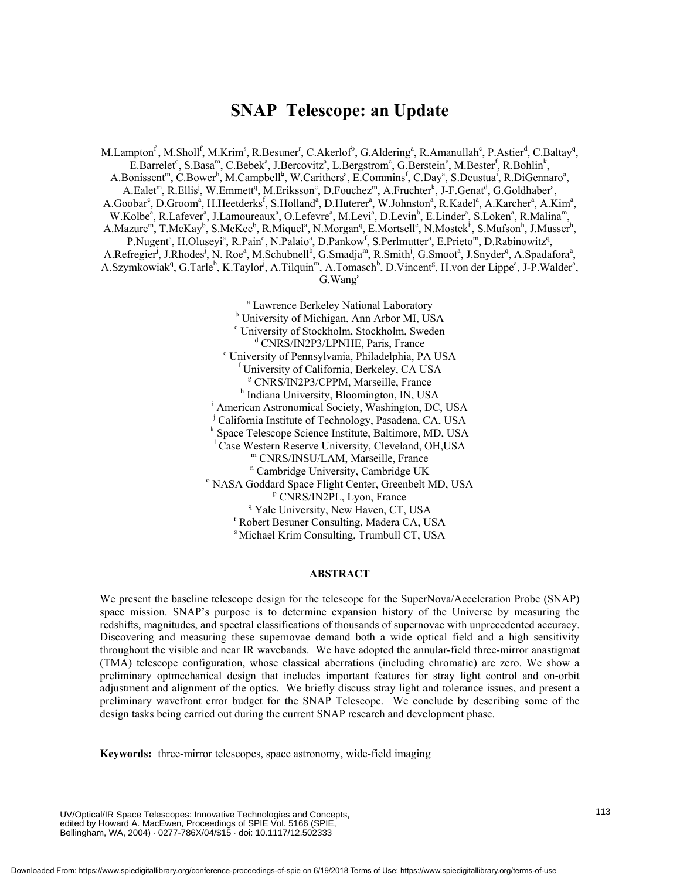### **SNAP Telescope: an Update**

M.Lampton<sup>f</sup>, M.Sholl<sup>f</sup>, M.Krim<sup>s</sup>, R.Besuner<sup>r</sup>, C.Akerlof<sup>b</sup>, G.Aldering<sup>a</sup>, R.Amanullah<sup>c</sup>, P.Astier<sup>d</sup>, C.Baltay<sup>q</sup>, E.Barrelet<sup>d</sup>, S.Basa<sup>m</sup>, C.Bebek<sup>a</sup>, J.Bercovitz<sup>a</sup>, L.Bergstrom<sup>c</sup>, G.Berstein<sup>e</sup>, M.Bester<sup>f</sup>, R.Bohlin<sup>k</sup>, A.Bonissent<sup>m</sup>, C.Bower<sup>h</sup>, M.Campbell<sup>b</sup>, W.Carithers<sup>a</sup>, E.Commins<sup>f</sup>, C.Day<sup>a</sup>, S.Deustua<sup>i</sup>, R.DiGennaro<sup>a</sup>, A.Ealet<sup>m</sup>, R.Ellis<sup>j</sup>, W.Emmett<sup>q</sup>, M.Eriksson<sup>c</sup>, D.Fouchez<sup>m</sup>, A.Fruchter<sup>k</sup>, J-F.Genat<sup>d</sup>, G.Goldhaber<sup>a</sup>, A.Goobar<sup>c</sup>, D.Groom<sup>a</sup>, H.Heetderks<sup>f</sup>, S.Holland<sup>a</sup>, D.Huterer<sup>a</sup>, W.Johnston<sup>a</sup>, R.Kadel<sup>a</sup>, A.Karcher<sup>a</sup>, A.Kim<sup>a</sup>, W.Kolbe<sup>a</sup>, R.Lafever<sup>a</sup>, J.Lamoureaux<sup>a</sup>, O.Lefevre<sup>a</sup>, M.Levi<sup>a</sup>, D.Levin<sup>b</sup>, E.Linder<sup>a</sup>, S.Loken<sup>a</sup>, R.Malina<sup>m</sup>, A.Mazure<sup>m</sup>, T.McKay<sup>b</sup>, S.McKee<sup>b</sup>, R.Miquel<sup>a</sup>, N.Morgan<sup>q</sup>, E.Mortsell<sup>c</sup>, N.Mostek<sup>h</sup>, S.Mufson<sup>h</sup>, J.Musser<sup>h</sup>, P.Nugent<sup>a</sup>, H.Oluseyi<sup>a</sup>, R.Pain<sup>d</sup>, N.Palaio<sup>a</sup>, D.Pankow<sup>f</sup>, S.Perlmutter<sup>a</sup>, E.Prieto<sup>m</sup>, D.Rabinowitz<sup>q</sup>, A.Refregier<sup>i</sup>, J.Rhodes<sup>i</sup>, N. Roe<sup>a</sup>, M.Schubnell<sup>b</sup>, G.Smadja<sup>m</sup>, R.Smith<sup>j</sup>, G.Smoot<sup>a</sup>, J.Snyder<sup>q</sup>, A.Spadafora<sup>a</sup>, A.Szymkowiak<sup>q</sup>, G.Tarle<sup>b</sup>, K.Taylor<sup>j</sup>, A.Tilquin<sup>m</sup>, A.Tomasch<sup>b</sup>, D.Vincent<sup>g</sup>, H.von der Lippe<sup>a</sup>, J-P.Walder<sup>a</sup>, G.Wang<sup>a</sup>

 a Lawrence Berkeley National Laboratory b University of Michigan, Ann Arbor MI, USA c University of Stockholm, Stockholm, Sweden <sup>d</sup> CNRS/IN2P3/LPNHE, Paris, France University of Pennsylvania, Philadelphia, PA USA f <sup>f</sup> University of California, Berkeley, CA USA <sup>g</sup> CNRS/IN2P3/CPPM, Marseille, France <sup>h</sup> Indiana University, Bloomington, IN, USA <sup>i</sup> American Astronomical Society, Washington, DC, USA j California Institute of Technology, Pasadena, CA, USA <sup>k</sup> Space Telescope Science Institute, Baltimore, MD, USA <sup>1</sup> Case Western Reserve University, Cleveland, OH,USA m CNRS/INSU/LAM, Marseille, France <sup>n</sup> Cambridge University, Cambridge UK<br><sup>0</sup> NASA Goddard Space Elight Conter Greenbet N <sup>o</sup> NASA Goddard Space Flight Center, Greenbelt MD, USA <sup>p</sup> CNRS/IN2PL, Lyon, France <sup>q</sup> Yale University, New Haven, CT, USA Robert Besuner Consulting, Madera CA, USA s Michael Krim Consulting, Trumbull CT, USA

#### **ABSTRACT**

We present the baseline telescope design for the telescope for the SuperNova/Acceleration Probe (SNAP) space mission. SNAP's purpose is to determine expansion history of the Universe by measuring the redshifts, magnitudes, and spectral classifications of thousands of supernovae with unprecedented accuracy. Discovering and measuring these supernovae demand both a wide optical field and a high sensitivity throughout the visible and near IR wavebands. We have adopted the annular-field three-mirror anastigmat (TMA) telescope configuration, whose classical aberrations (including chromatic) are zero. We show a preliminary optmechanical design that includes important features for stray light control and on-orbit adjustment and alignment of the optics. We briefly discuss stray light and tolerance issues, and present a preliminary wavefront error budget for the SNAP Telescope. We conclude by describing some of the design tasks being carried out during the current SNAP research and development phase.

**Keywords:** three-mirror telescopes, space astronomy, wide-field imaging

UV/Optical/IR Space Telescopes: Innovative Technologies and Concepts, edited by Howard A. MacEwen, Proceedings of SPIE Vol. 5166 (SPIE, Bellingham, WA, 2004) · 0277-786X/04/\$15 · doi: 10.1117/12.502333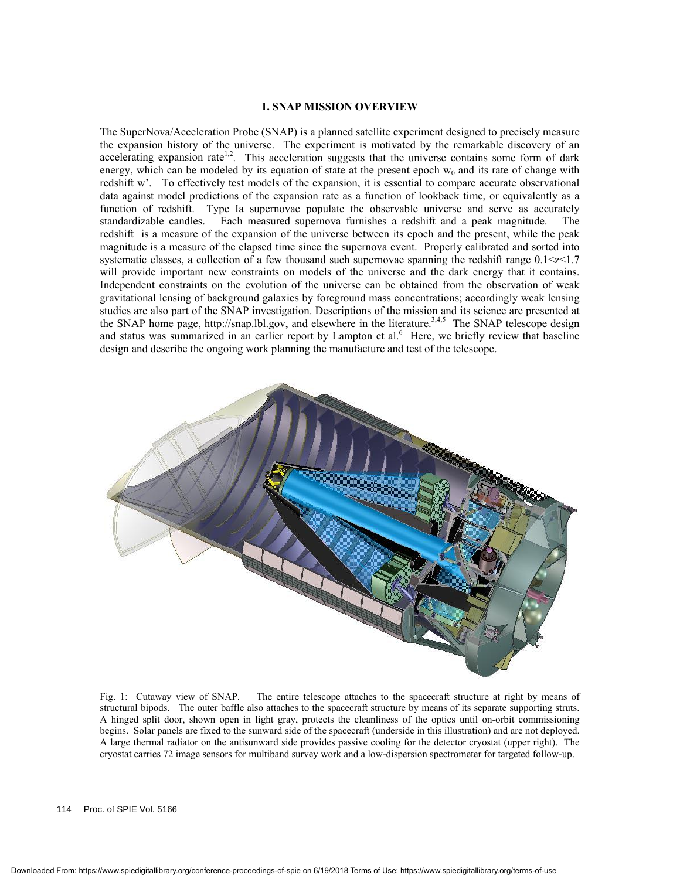#### **1. SNAP MISSION OVERVIEW**

The SuperNova/Acceleration Probe (SNAP) is a planned satellite experiment designed to precisely measure the expansion history of the universe. The experiment is motivated by the remarkable discovery of an accelerating expansion rate<sup>1,2</sup>. This acceleration suggests that the universe contains some form of dark energy, which can be modeled by its equation of state at the present epoch  $w_0$  and its rate of change with redshift w'. To effectively test models of the expansion, it is essential to compare accurate observational data against model predictions of the expansion rate as a function of lookback time, or equivalently as a function of redshift. Type Ia supernovae populate the observable universe and serve as accurately standardizable candles. Each measured supernova furnishes a redshift and a peak magnitude. The redshift is a measure of the expansion of the universe between its epoch and the present, while the peak magnitude is a measure of the elapsed time since the supernova event. Properly calibrated and sorted into systematic classes, a collection of a few thousand such supernovae spanning the redshift range  $0.1 < z < 1.7$ will provide important new constraints on models of the universe and the dark energy that it contains. Independent constraints on the evolution of the universe can be obtained from the observation of weak gravitational lensing of background galaxies by foreground mass concentrations; accordingly weak lensing studies are also part of the SNAP investigation. Descriptions of the mission and its science are presented at the SNAP home page, http://snap.lbl.gov, and elsewhere in the literature.<sup>3,4,5</sup> The SNAP telescope design and status was summarized in an earlier report by Lampton et al.<sup>6</sup> Here, we briefly review that baseline design and describe the ongoing work planning the manufacture and test of the telescope.



Fig. 1: Cutaway view of SNAP. The entire telescope attaches to the spacecraft structure at right by means of structural bipods. The outer baffle also attaches to the spacecraft structure by means of its separate supporting struts. A hinged split door, shown open in light gray, protects the cleanliness of the optics until on-orbit commissioning begins. Solar panels are fixed to the sunward side of the spacecraft (underside in this illustration) and are not deployed. A large thermal radiator on the antisunward side provides passive cooling for the detector cryostat (upper right). The cryostat carries 72 image sensors for multiband survey work and a low-dispersion spectrometer for targeted follow-up.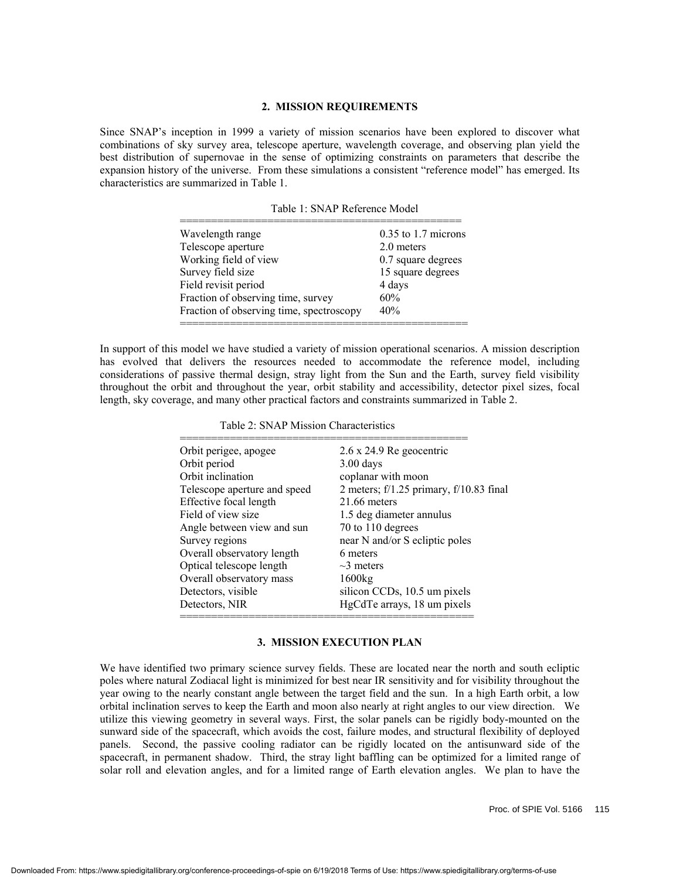#### **2. MISSION REQUIREMENTS**

Since SNAP's inception in 1999 a variety of mission scenarios have been explored to discover what combinations of sky survey area, telescope aperture, wavelength coverage, and observing plan yield the best distribution of supernovae in the sense of optimizing constraints on parameters that describe the expansion history of the universe. From these simulations a consistent "reference model" has emerged. Its characteristics are summarized in Table 1.

| Wavelength range                         | $0.35$ to 1.7 microns |
|------------------------------------------|-----------------------|
| Telescope aperture                       | 2.0 meters            |
| Working field of view                    | 0.7 square degrees    |
| Survey field size                        | 15 square degrees     |
| Field revisit period                     | 4 days                |
| Fraction of observing time, survey       | 60%                   |
| Fraction of observing time, spectroscopy | 40%                   |

In support of this model we have studied a variety of mission operational scenarios. A mission description has evolved that delivers the resources needed to accommodate the reference model, including considerations of passive thermal design, stray light from the Sun and the Earth, survey field visibility throughout the orbit and throughout the year, orbit stability and accessibility, detector pixel sizes, focal length, sky coverage, and many other practical factors and constraints summarized in Table 2.

| Orbit perigee, apogee        | $2.6 \times 24.9$ Re geocentric         |
|------------------------------|-----------------------------------------|
| Orbit period                 | $3.00$ days                             |
| Orbit inclination            | coplanar with moon                      |
| Telescope aperture and speed | 2 meters; f/1.25 primary, f/10.83 final |
| Effective focal length       | $21.66$ meters                          |
| Field of view size           | 1.5 deg diameter annulus                |
| Angle between view and sun   | 70 to 110 degrees                       |
| Survey regions               | near N and/or S ecliptic poles          |
| Overall observatory length   | 6 meters                                |
| Optical telescope length     | $\sim$ 3 meters                         |
| Overall observatory mass     | 1600kg                                  |
| Detectors, visible           | silicon CCDs, 10.5 um pixels            |
| Detectors, NIR               | HgCdTe arrays, 18 um pixels             |

#### **3. MISSION EXECUTION PLAN**

We have identified two primary science survey fields. These are located near the north and south ecliptic poles where natural Zodiacal light is minimized for best near IR sensitivity and for visibility throughout the year owing to the nearly constant angle between the target field and the sun. In a high Earth orbit, a low orbital inclination serves to keep the Earth and moon also nearly at right angles to our view direction. We utilize this viewing geometry in several ways. First, the solar panels can be rigidly body-mounted on the sunward side of the spacecraft, which avoids the cost, failure modes, and structural flexibility of deployed panels. Second, the passive cooling radiator can be rigidly located on the antisunward side of the spacecraft, in permanent shadow. Third, the stray light baffling can be optimized for a limited range of solar roll and elevation angles, and for a limited range of Earth elevation angles. We plan to have the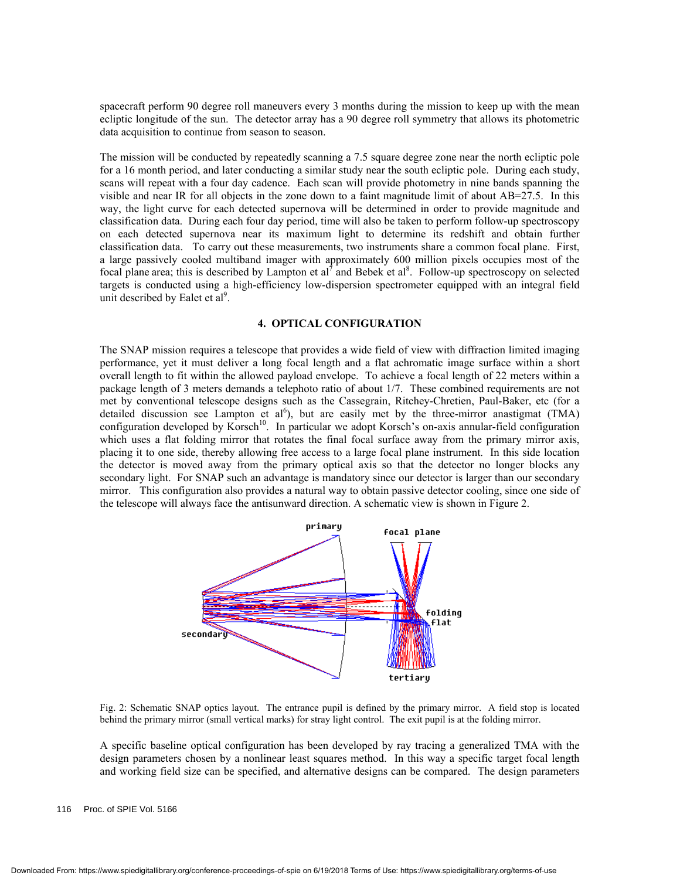spacecraft perform 90 degree roll maneuvers every 3 months during the mission to keep up with the mean ecliptic longitude of the sun. The detector array has a 90 degree roll symmetry that allows its photometric data acquisition to continue from season to season.

The mission will be conducted by repeatedly scanning a 7.5 square degree zone near the north ecliptic pole for a 16 month period, and later conducting a similar study near the south ecliptic pole. During each study, scans will repeat with a four day cadence. Each scan will provide photometry in nine bands spanning the visible and near IR for all objects in the zone down to a faint magnitude limit of about AB=27.5. In this way, the light curve for each detected supernova will be determined in order to provide magnitude and classification data. During each four day period, time will also be taken to perform follow-up spectroscopy on each detected supernova near its maximum light to determine its redshift and obtain further classification data. To carry out these measurements, two instruments share a common focal plane. First, a large passively cooled multiband imager with approximately 600 million pixels occupies most of the focal plane area; this is described by Lampton et al<sup>7</sup> and Bebek et al<sup>8</sup>. Follow-up spectroscopy on selected targets is conducted using a high-efficiency low-dispersion spectrometer equipped with an integral field unit described by Ealet et al<sup>9</sup>.

#### **4. OPTICAL CONFIGURATION**

The SNAP mission requires a telescope that provides a wide field of view with diffraction limited imaging performance, yet it must deliver a long focal length and a flat achromatic image surface within a short overall length to fit within the allowed payload envelope. To achieve a focal length of 22 meters within a package length of 3 meters demands a telephoto ratio of about 1/7. These combined requirements are not met by conventional telescope designs such as the Cassegrain, Ritchey-Chretien, Paul-Baker, etc (for a detailed discussion see Lampton et al<sup>6</sup>), but are easily met by the three-mirror anastigmat (TMA) configuration developed by Korsch<sup>10</sup>. In particular we adopt Korsch's on-axis annular-field configuration which uses a flat folding mirror that rotates the final focal surface away from the primary mirror axis, placing it to one side, thereby allowing free access to a large focal plane instrument. In this side location the detector is moved away from the primary optical axis so that the detector no longer blocks any secondary light. For SNAP such an advantage is mandatory since our detector is larger than our secondary mirror. This configuration also provides a natural way to obtain passive detector cooling, since one side of the telescope will always face the antisunward direction. A schematic view is shown in Figure 2.



Fig. 2: Schematic SNAP optics layout. The entrance pupil is defined by the primary mirror. A field stop is located behind the primary mirror (small vertical marks) for stray light control. The exit pupil is at the folding mirror.

A specific baseline optical configuration has been developed by ray tracing a generalized TMA with the design parameters chosen by a nonlinear least squares method. In this way a specific target focal length and working field size can be specified, and alternative designs can be compared. The design parameters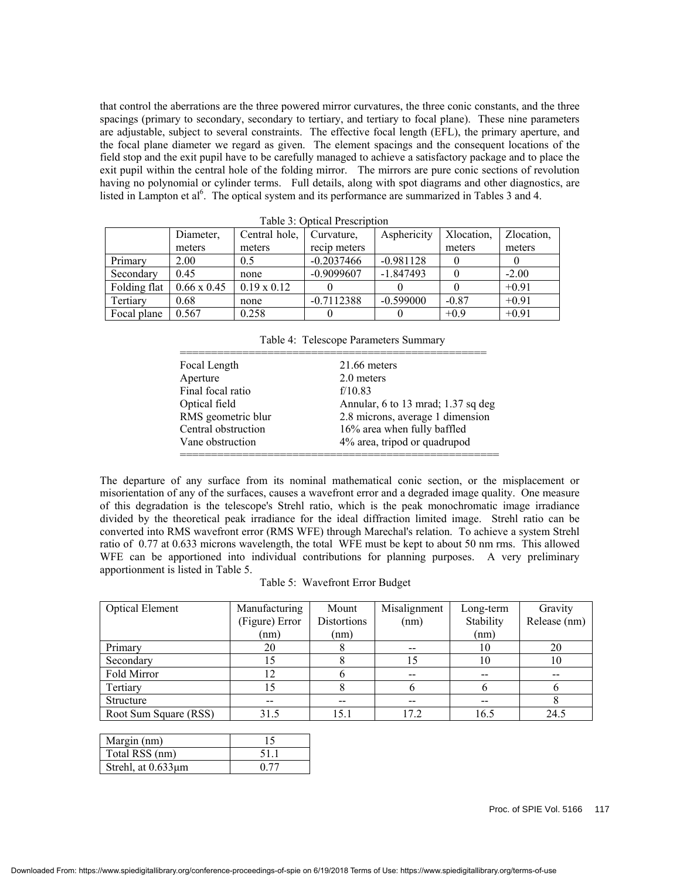that control the aberrations are the three powered mirror curvatures, the three conic constants, and the three spacings (primary to secondary, secondary to tertiary, and tertiary to focal plane). These nine parameters are adjustable, subject to several constraints. The effective focal length (EFL), the primary aperture, and the focal plane diameter we regard as given. The element spacings and the consequent locations of the field stop and the exit pupil have to be carefully managed to achieve a satisfactory package and to place the exit pupil within the central hole of the folding mirror. The mirrors are pure conic sections of revolution having no polynomial or cylinder terms. Full details, along with spot diagrams and other diagnostics, are listed in Lampton et al<sup>6</sup>. The optical system and its performance are summarized in Tables 3 and 4.

| Taon J. Obuda Tigalibuon |                    |                    |              |             |            |            |
|--------------------------|--------------------|--------------------|--------------|-------------|------------|------------|
|                          | Diameter.          | Central hole,      | Curvature,   | Asphericity | Xlocation, | Zlocation, |
|                          | meters             | meters             | recip meters |             | meters     | meters     |
| Primary                  | 2.00               | 0.5                | $-0.2037466$ | $-0.981128$ |            |            |
| Secondary                | 0.45               | none               | $-0.9099607$ | $-1.847493$ |            | $-2.00$    |
| Folding flat             | $0.66 \times 0.45$ | $0.19 \times 0.12$ |              |             |            | $+0.91$    |
| Tertiarv                 | 0.68               | none               | $-0.7112388$ | $-0.599000$ | $-0.87$    | $+0.91$    |
| Focal plane              | 0.567              | 0.258              |              |             | $+0.9$     | $+0.91$    |

Table 3: Optical Prescription

Table 4: Telescope Parameters Summary

| Focal Length        | 21.66 meters                       |
|---------------------|------------------------------------|
| Aperture            | 2.0 meters                         |
| Final focal ratio   | f/10.83                            |
| Optical field       | Annular, 6 to 13 mrad; 1.37 sq deg |
| RMS geometric blur  | 2.8 microns, average 1 dimension   |
| Central obstruction | 16% area when fully baffled        |
| Vane obstruction    | 4% area, tripod or quadrupod       |

The departure of any surface from its nominal mathematical conic section, or the misplacement or misorientation of any of the surfaces, causes a wavefront error and a degraded image quality. One measure of this degradation is the telescope's Strehl ratio, which is the peak monochromatic image irradiance divided by the theoretical peak irradiance for the ideal diffraction limited image. Strehl ratio can be converted into RMS wavefront error (RMS WFE) through Marechal's relation. To achieve a system Strehl ratio of 0.77 at 0.633 microns wavelength, the total WFE must be kept to about 50 nm rms. This allowed WFE can be apportioned into individual contributions for planning purposes. A very preliminary apportionment is listed in Table 5.

|  | Table 5: Wavefront Error Budget |
|--|---------------------------------|
|--|---------------------------------|

| <b>Optical Element</b> | Manufacturing  | Mount       | Misalignment | Long-term | Gravity      |
|------------------------|----------------|-------------|--------------|-----------|--------------|
|                        | (Figure) Error | Distortions | (nm)         | Stability | Release (nm) |
|                        | (nm)           | (nm)        |              | (nm)      |              |
| Primary                | 20             |             |              | 10        | 20           |
| Secondary              |                |             | 15           | 10        | 10           |
| Fold Mirror            | 12             |             | --           | --        |              |
| Tertiary               | 15             |             |              |           |              |
| <b>Structure</b>       | --             | $-$         | --           | $-$       |              |
| Root Sum Square (RSS)  | 31.5           | 15.1        | 17.2         | 16.5      | 24.5         |

| Margin (nm)        |      |
|--------------------|------|
| Total RSS (nm)     | 511  |
| Strehl, at 0.633µm | 0.77 |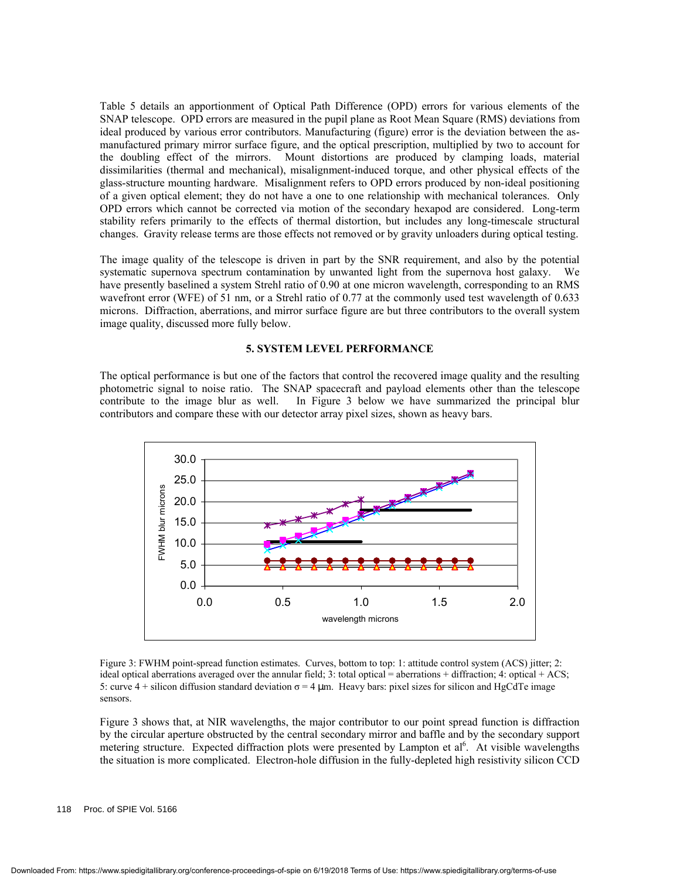Table 5 details an apportionment of Optical Path Difference (OPD) errors for various elements of the SNAP telescope. OPD errors are measured in the pupil plane as Root Mean Square (RMS) deviations from ideal produced by various error contributors. Manufacturing (figure) error is the deviation between the asmanufactured primary mirror surface figure, and the optical prescription, multiplied by two to account for the doubling effect of the mirrors. Mount distortions are produced by clamping loads, material dissimilarities (thermal and mechanical), misalignment-induced torque, and other physical effects of the glass-structure mounting hardware. Misalignment refers to OPD errors produced by non-ideal positioning of a given optical element; they do not have a one to one relationship with mechanical tolerances. Only OPD errors which cannot be corrected via motion of the secondary hexapod are considered. Long-term stability refers primarily to the effects of thermal distortion, but includes any long-timescale structural changes. Gravity release terms are those effects not removed or by gravity unloaders during optical testing.

The image quality of the telescope is driven in part by the SNR requirement, and also by the potential systematic supernova spectrum contamination by unwanted light from the supernova host galaxy. We have presently baselined a system Strehl ratio of 0.90 at one micron wavelength, corresponding to an RMS wavefront error (WFE) of 51 nm, or a Strehl ratio of 0.77 at the commonly used test wavelength of 0.633 microns. Diffraction, aberrations, and mirror surface figure are but three contributors to the overall system image quality, discussed more fully below.

#### **5. SYSTEM LEVEL PERFORMANCE**

The optical performance is but one of the factors that control the recovered image quality and the resulting photometric signal to noise ratio. The SNAP spacecraft and payload elements other than the telescope contribute to the image blur as well. In Figure 3 below we have summarized the principal blur contributors and compare these with our detector array pixel sizes, shown as heavy bars.



Figure 3: FWHM point-spread function estimates. Curves, bottom to top: 1: attitude control system (ACS) jitter; 2: ideal optical aberrations averaged over the annular field; 3: total optical = aberrations + diffraction; 4: optical + ACS; 5: curve 4 + silicon diffusion standard deviation  $\sigma = 4 \mu m$ . Heavy bars: pixel sizes for silicon and HgCdTe image sensors.

Figure 3 shows that, at NIR wavelengths, the major contributor to our point spread function is diffraction by the circular aperture obstructed by the central secondary mirror and baffle and by the secondary support metering structure. Expected diffraction plots were presented by Lampton et al<sup>6</sup>. At visible wavelengths the situation is more complicated. Electron-hole diffusion in the fully-depleted high resistivity silicon CCD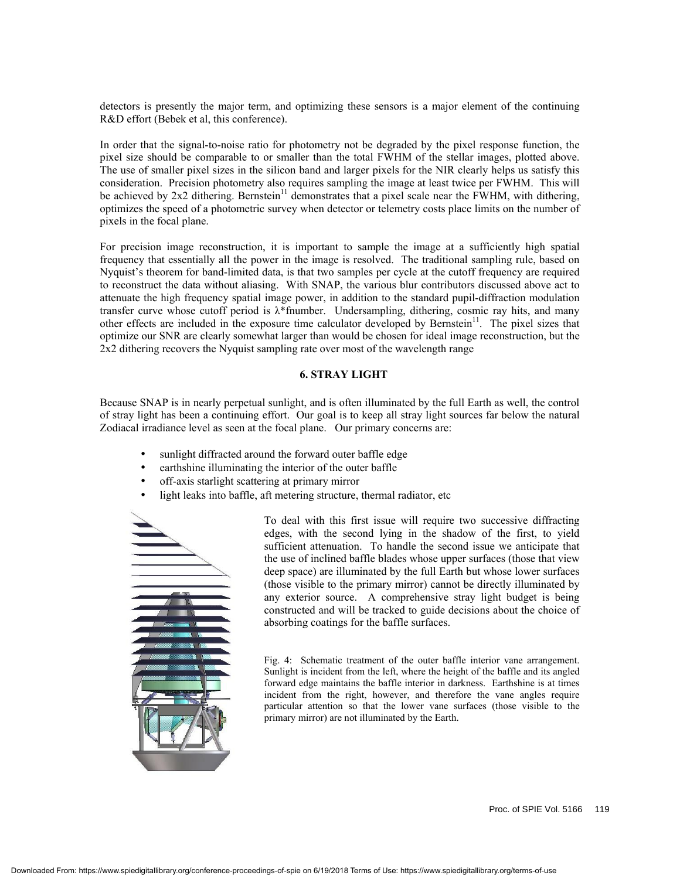detectors is presently the major term, and optimizing these sensors is a major element of the continuing R&D effort (Bebek et al, this conference).

In order that the signal-to-noise ratio for photometry not be degraded by the pixel response function, the pixel size should be comparable to or smaller than the total FWHM of the stellar images, plotted above. The use of smaller pixel sizes in the silicon band and larger pixels for the NIR clearly helps us satisfy this consideration. Precision photometry also requires sampling the image at least twice per FWHM. This will be achieved by  $2x^2$  dithering. Bernstein<sup>11</sup> demonstrates that a pixel scale near the FWHM, with dithering, optimizes the speed of a photometric survey when detector or telemetry costs place limits on the number of pixels in the focal plane.

For precision image reconstruction, it is important to sample the image at a sufficiently high spatial frequency that essentially all the power in the image is resolved. The traditional sampling rule, based on Nyquist's theorem for band-limited data, is that two samples per cycle at the cutoff frequency are required to reconstruct the data without aliasing. With SNAP, the various blur contributors discussed above act to attenuate the high frequency spatial image power, in addition to the standard pupil-diffraction modulation transfer curve whose cutoff period is λ\*fnumber. Undersampling, dithering, cosmic ray hits, and many other effects are included in the exposure time calculator developed by Bernstein<sup>11</sup>. The pixel sizes that optimize our SNR are clearly somewhat larger than would be chosen for ideal image reconstruction, but the 2x2 dithering recovers the Nyquist sampling rate over most of the wavelength range

#### **6. STRAY LIGHT**

Because SNAP is in nearly perpetual sunlight, and is often illuminated by the full Earth as well, the control of stray light has been a continuing effort. Our goal is to keep all stray light sources far below the natural Zodiacal irradiance level as seen at the focal plane. Our primary concerns are:

- sunlight diffracted around the forward outer baffle edge
- earthshine illuminating the interior of the outer baffle
- off-axis starlight scattering at primary mirror
- light leaks into baffle, aft metering structure, thermal radiator, etc



To deal with this first issue will require two successive diffracting edges, with the second lying in the shadow of the first, to yield sufficient attenuation. To handle the second issue we anticipate that the use of inclined baffle blades whose upper surfaces (those that view deep space) are illuminated by the full Earth but whose lower surfaces (those visible to the primary mirror) cannot be directly illuminated by any exterior source. A comprehensive stray light budget is being constructed and will be tracked to guide decisions about the choice of absorbing coatings for the baffle surfaces.

Fig. 4: Schematic treatment of the outer baffle interior vane arrangement. Sunlight is incident from the left, where the height of the baffle and its angled forward edge maintains the baffle interior in darkness. Earthshine is at times incident from the right, however, and therefore the vane angles require particular attention so that the lower vane surfaces (those visible to the primary mirror) are not illuminated by the Earth.

Proc. of SPIE Vol. 5166 119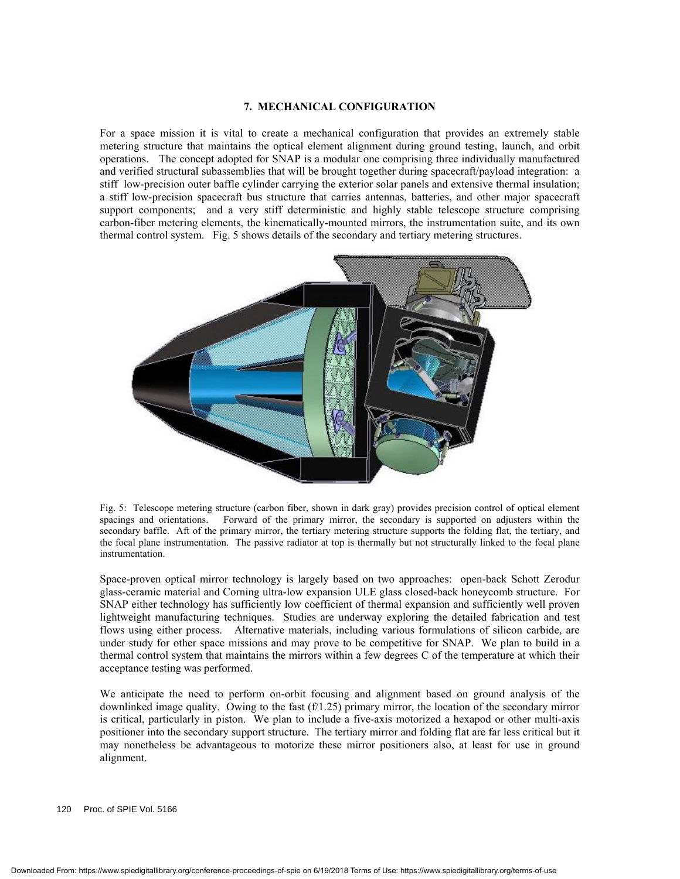#### **7. MECHANICAL CONFIGURATION**

For a space mission it is vital to create a mechanical configuration that provides an extremely stable metering structure that maintains the optical element alignment during ground testing, launch, and orbit operations. The concept adopted for SNAP is a modular one comprising three individually manufactured and verified structural subassemblies that will be brought together during spacecraft/payload integration: a stiff low-precision outer baffle cylinder carrying the exterior solar panels and extensive thermal insulation; a stiff low-precision spacecraft bus structure that carries antennas, batteries, and other major spacecraft support components; and a very stiff deterministic and highly stable telescope structure comprising carbon-fiber metering elements, the kinematically-mounted mirrors, the instrumentation suite, and its own thermal control system. Fig. 5 shows details of the secondary and tertiary metering structures.



Fig. 5: Telescope metering structure (carbon fiber, shown in dark gray) provides precision control of optical element spacings and orientations. Forward of the primary mirror, the secondary is supported on adjusters within the secondary baffle. Aft of the primary mirror, the tertiary metering structure supports the folding flat, the tertiary, and the focal plane instrumentation. The passive radiator at top is thermally but not structurally linked to the focal plane instrumentation.

Space-proven optical mirror technology is largely based on two approaches: open-back Schott Zerodur glass-ceramic material and Corning ultra-low expansion ULE glass closed-back honeycomb structure. For SNAP either technology has sufficiently low coefficient of thermal expansion and sufficiently well proven lightweight manufacturing techniques. Studies are underway exploring the detailed fabrication and test flows using either process. Alternative materials, including various formulations of silicon carbide, are under study for other space missions and may prove to be competitive for SNAP. We plan to build in a thermal control system that maintains the mirrors within a few degrees C of the temperature at which their acceptance testing was performed.

We anticipate the need to perform on-orbit focusing and alignment based on ground analysis of the downlinked image quality. Owing to the fast  $(f/1.25)$  primary mirror, the location of the secondary mirror is critical, particularly in piston. We plan to include a five-axis motorized a hexapod or other multi-axis positioner into the secondary support structure. The tertiary mirror and folding flat are far less critical but it may nonetheless be advantageous to motorize these mirror positioners also, at least for use in ground alignment.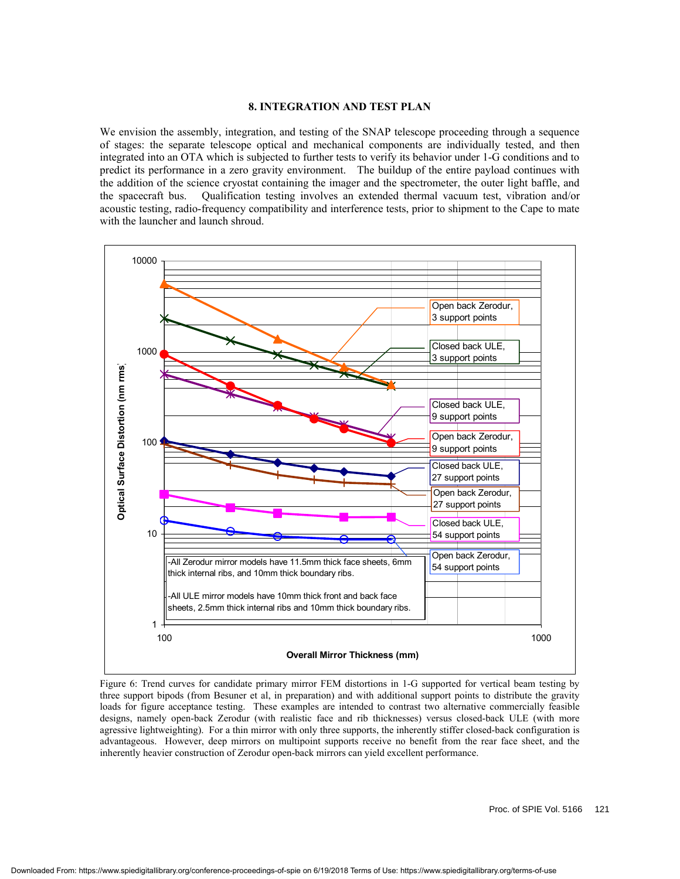#### **8. INTEGRATION AND TEST PLAN**

We envision the assembly, integration, and testing of the SNAP telescope proceeding through a sequence of stages: the separate telescope optical and mechanical components are individually tested, and then integrated into an OTA which is subjected to further tests to verify its behavior under 1-G conditions and to predict its performance in a zero gravity environment. The buildup of the entire payload continues with the addition of the science cryostat containing the imager and the spectrometer, the outer light baffle, and the spacecraft bus. Qualification testing involves an extended thermal vacuum test, vibration and/or acoustic testing, radio-frequency compatibility and interference tests, prior to shipment to the Cape to mate with the launcher and launch shroud.



Figure 6: Trend curves for candidate primary mirror FEM distortions in 1-G supported for vertical beam testing by three support bipods (from Besuner et al, in preparation) and with additional support points to distribute the gravity loads for figure acceptance testing. These examples are intended to contrast two alternative commercially feasible designs, namely open-back Zerodur (with realistic face and rib thicknesses) versus closed-back ULE (with more agressive lightweighting). For a thin mirror with only three supports, the inherently stiffer closed-back configuration is advantageous. However, deep mirrors on multipoint supports receive no benefit from the rear face sheet, and the inherently heavier construction of Zerodur open-back mirrors can yield excellent performance.

Proc. of SPIE Vol. 5166 121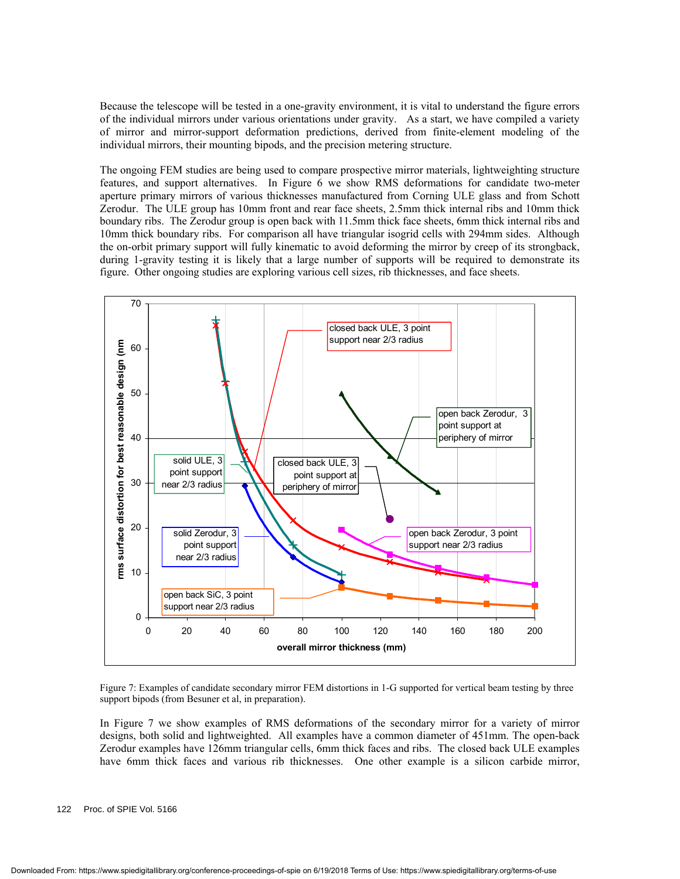Because the telescope will be tested in a one-gravity environment, it is vital to understand the figure errors of the individual mirrors under various orientations under gravity. As a start, we have compiled a variety of mirror and mirror-support deformation predictions, derived from finite-element modeling of the individual mirrors, their mounting bipods, and the precision metering structure.

The ongoing FEM studies are being used to compare prospective mirror materials, lightweighting structure features, and support alternatives. In Figure 6 we show RMS deformations for candidate two-meter aperture primary mirrors of various thicknesses manufactured from Corning ULE glass and from Schott Zerodur. The ULE group has 10mm front and rear face sheets, 2.5mm thick internal ribs and 10mm thick boundary ribs. The Zerodur group is open back with 11.5mm thick face sheets, 6mm thick internal ribs and 10mm thick boundary ribs. For comparison all have triangular isogrid cells with 294mm sides. Although the on-orbit primary support will fully kinematic to avoid deforming the mirror by creep of its strongback, during 1-gravity testing it is likely that a large number of supports will be required to demonstrate its figure. Other ongoing studies are exploring various cell sizes, rib thicknesses, and face sheets.



Figure 7: Examples of candidate secondary mirror FEM distortions in 1-G supported for vertical beam testing by three support bipods (from Besuner et al, in preparation).

In Figure 7 we show examples of RMS deformations of the secondary mirror for a variety of mirror designs, both solid and lightweighted. All examples have a common diameter of 451mm. The open-back Zerodur examples have 126mm triangular cells, 6mm thick faces and ribs. The closed back ULE examples have 6mm thick faces and various rib thicknesses. One other example is a silicon carbide mirror,